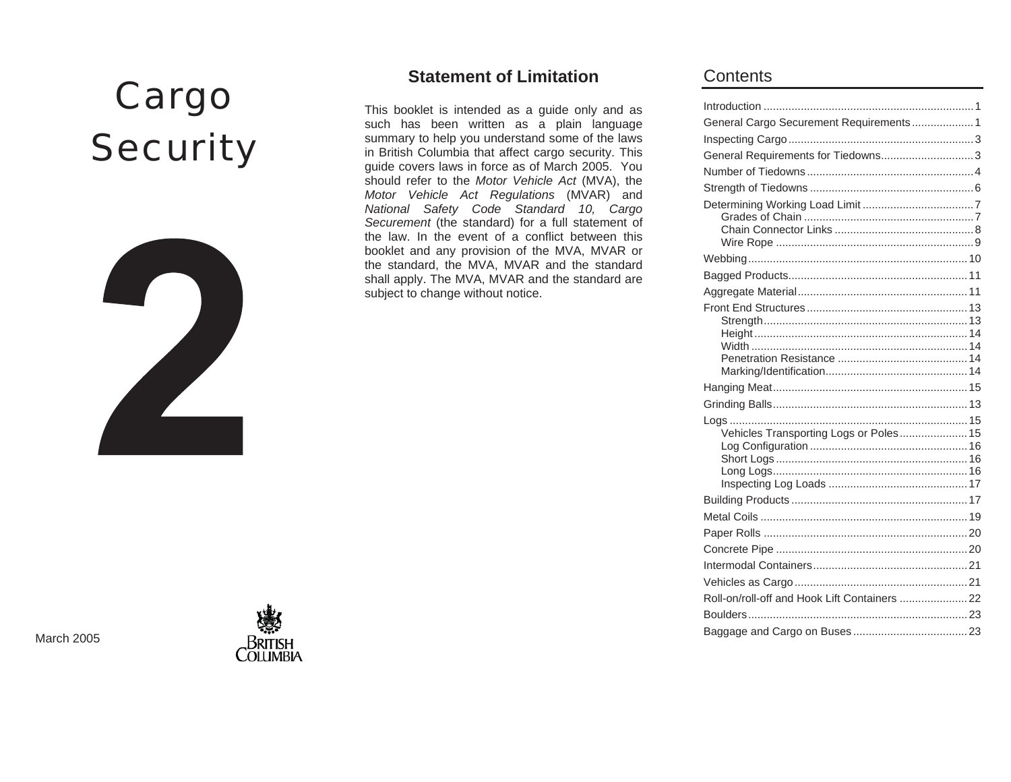# Cargo **Security**



## **Statement of Limitation**

This booklet is intended as a guide only and as such has been written as a plain language summary to help you understand some of the laws in British Columbia that affect cargo security. This guide covers laws in force as of March 2005. You should refer to the *Motor Vehicle Act* (MVA), the *Motor Vehicle Act Regulations* (MVAR) and *National Safety Code Standard 10, Cargo Securement* (the standard) for a full statement of the law. In the event of a conflict between this booklet and any provision of the MVA, MVAR or the standard, the MVA, MVAR and the standard shall apply. The MVA, MVAR and the standard are subject to change without notice.

## **Contents**

| General Cargo Securement Requirements  1      |
|-----------------------------------------------|
|                                               |
| General Requirements for Tiedowns3            |
|                                               |
|                                               |
|                                               |
|                                               |
|                                               |
|                                               |
|                                               |
|                                               |
|                                               |
|                                               |
|                                               |
|                                               |
|                                               |
|                                               |
|                                               |
|                                               |
|                                               |
| Vehicles Transporting Logs or Poles 15        |
|                                               |
|                                               |
|                                               |
|                                               |
|                                               |
|                                               |
|                                               |
|                                               |
|                                               |
| Roll-on/roll-off and Hook Lift Containers  22 |
|                                               |
|                                               |
|                                               |

March 2005

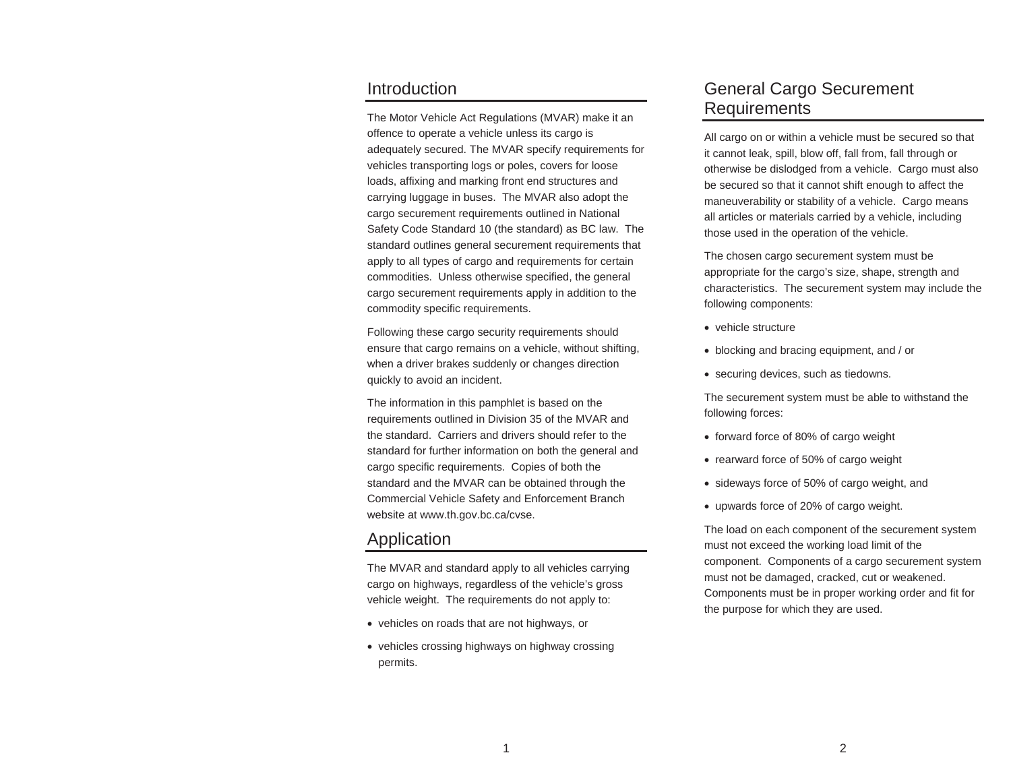#### **Introduction**

The Motor Vehicle Act Regulations (MVAR) make it an offence to operate a vehicle unless its cargo is adequately secured. The MVAR specify requirements for vehicles transporting logs or poles, covers for loose loads, affixing and marking front end structures and carrying luggage in buses. The MVAR also adopt the cargo securement requirements outlined in National Safety Code Standard 10 (the standard) as BC law. The standard outlines general securement requirements that apply to all types of cargo and requirements for certain commodities. Unless otherwise specified, the general cargo securement requirements apply in addition to the commodity specific requirements.

Following these cargo security requirements should ensure that cargo remains on a vehicle, without shifting, when a driver brakes suddenly or changes direction quickly to avoid an incident.

The information in this pamphlet is based on the requirements outlined in Division 35 of the MVAR and the standard. Carriers and drivers should refer to the standard for further information on both the general and cargo specific requirements. Copies of both the standard and the MVAR can be obtained through the Commercial Vehicle Safety and Enforcement Branch website at www.th.gov.bc.ca/cvse.

## Application

The MVAR and standard apply to all vehicles carrying cargo on highways, regardless of the vehicle's gross vehicle weight. The requirements do not apply to:

- vehicles on roads that are not highways, or
- vehicles crossing highways on highway crossing permits.

## General Cargo Securement Requirements

All cargo on or within a vehicle must be secured so that it cannot leak, spill, blow off, fall from, fall through or otherwise be dislodged from a vehicle. Cargo must also be secured so that it cannot shift enough to affect the maneuverability or stability of a vehicle. Cargo means all articles or materials carried by a vehicle, including those used in the operation of the vehicle.

The chosen cargo securement system must be appropriate for the cargo's size, shape, strength and characteristics. The securement system may include the following components:

- vehicle structure
- blocking and bracing equipment, and / or
- securing devices, such as tiedowns.

The securement system must be able to withstand the following forces:

- forward force of 80% of cargo weight
- rearward force of 50% of cargo weight
- sideways force of 50% of cargo weight, and
- upwards force of 20% of cargo weight.

The load on each component of the securement system must not exceed the working load limit of the component. Components of a cargo securement system must not be damaged, cracked, cut or weakened. Components must be in proper working order and fit for the purpose for which they are used.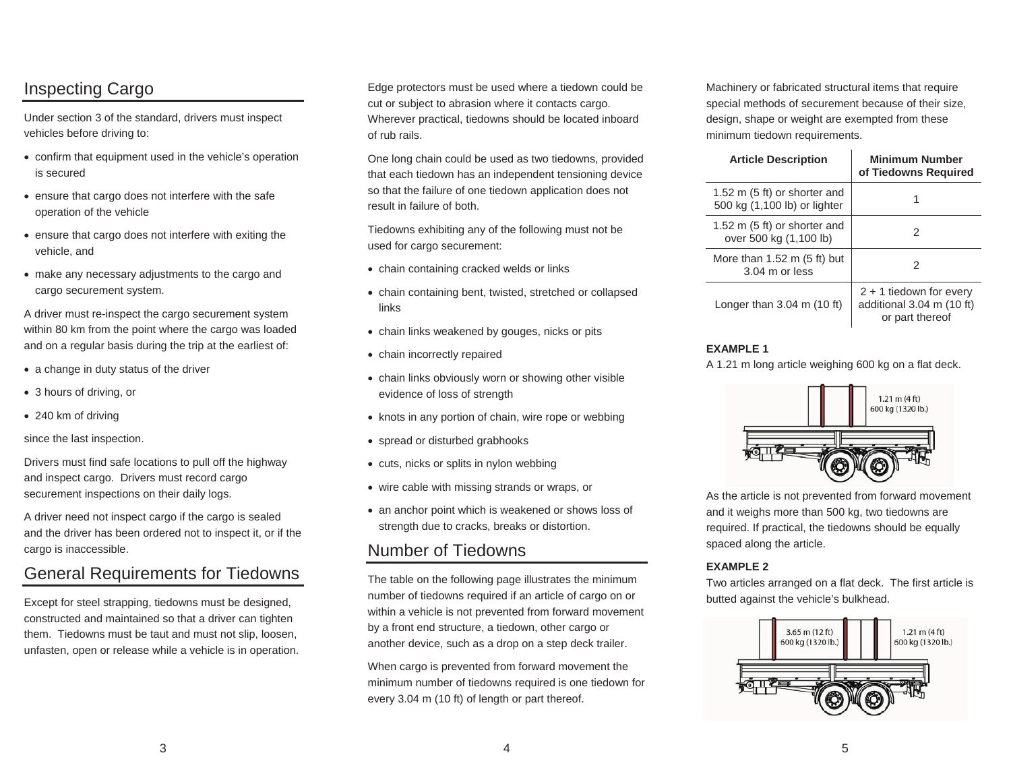# Inspecting Cargo

Under section 3 of the standard, drivers must inspect vehicles before driving to:

- confirm that equipment used in the vehicle's operation is secured
- ensure that cargo does not interfere with the safe operation of the vehicle
- ensure that cargo does not interfere with exiting the vehicle, and
- make any necessary adjustments to the cargo and cargo securement system.

A driver must re-inspect the cargo securement system within 80 km from the point where the cargo was loaded and on a regular basis during the trip at the earliest of:

- $\bullet$  a change in duty status of the driver
- 3 hours of driving, or
- $\bullet$  240 km of driving

since the last inspection.

Drivers must find safe locations to pull off the highway and inspect cargo. Drivers must record cargo securement inspections on their daily logs.

A driver need not inspect cargo if the cargo is sealed and the driver has been ordered not to inspect it, or if the cargo is inaccessible.

# General Requirements for Tiedowns

Except for steel strapping, tiedowns must be designed, constructed and maintained so that a driver can tighten them. Tiedowns must be taut and must not slip, loosen, unfasten, open or release while a vehicle is in operation. Edge protectors must be used where a tiedown could be cut or subject to abrasion where it contacts cargo. Wherever practical, tiedowns should be located inboard of rub rails.

One long chain could be used as two tiedowns, provided that each tiedown has an independent tensioning device so that the failure of one tiedown application does not result in failure of both.

Tiedowns exhibiting any of the following must not be used for cargo securement:

- chain containing cracked welds or links
- chain containing bent, twisted, stretched or collapsed links
- chain links weakened by gouges, nicks or pits
- chain incorrectly repaired
- chain links obviously worn or showing other visible evidence of loss of strength
- knots in any portion of chain, wire rope or webbing
- spread or disturbed grabhooks
- $\bullet$  cuts, nicks or splits in nylon webbing
- wire cable with missing strands or wraps, or
- an anchor point which is weakened or shows loss of strength due to cracks, breaks or distortion.

## Number of Tiedowns

The table on the following page illustrates the minimum number of tiedowns required if an article of cargo on or within a vehicle is not prevented from forward movement by a front end structure, a tiedown, other cargo or another device, such as a drop on a step deck trailer.

When cargo is prevented from forward movement the minimum number of tiedowns required is one tiedown for every 3.04 m (10 ft) of length or part thereof.

Machinery or fabricated structural items that require special methods of securement because of their size, design, shape or weight are exempted from these minimum tiedown requirements.

| <b>Article Description</b>                                             | <b>Minimum Number</b><br>of Tiedowns Required                             |
|------------------------------------------------------------------------|---------------------------------------------------------------------------|
| 1.52 m $(5 \text{ ft})$ or shorter and<br>500 kg (1,100 lb) or lighter |                                                                           |
| 1.52 m $(5 \text{ ft})$ or shorter and<br>over 500 kg (1,100 lb)       | 2                                                                         |
| More than $1.52$ m $(5 \text{ ft})$ but<br>$3.04$ m or less            | 2                                                                         |
| Longer than $3.04$ m (10 ft)                                           | $2 + 1$ tiedown for every<br>additional 3.04 m (10 ft)<br>or part thereof |

#### **EXAMPLE 1**

A 1.21 m long article weighing 600 kg on a flat deck.



As the article is not prevented from forward movement and it weighs more than 500 kg, two tiedowns are required. If practical, the tiedowns should be equally spaced along the article.

#### **EXAMPLE 2**

Two articles arranged on a flat deck. The first article is butted against the vehicle's bulkhead.

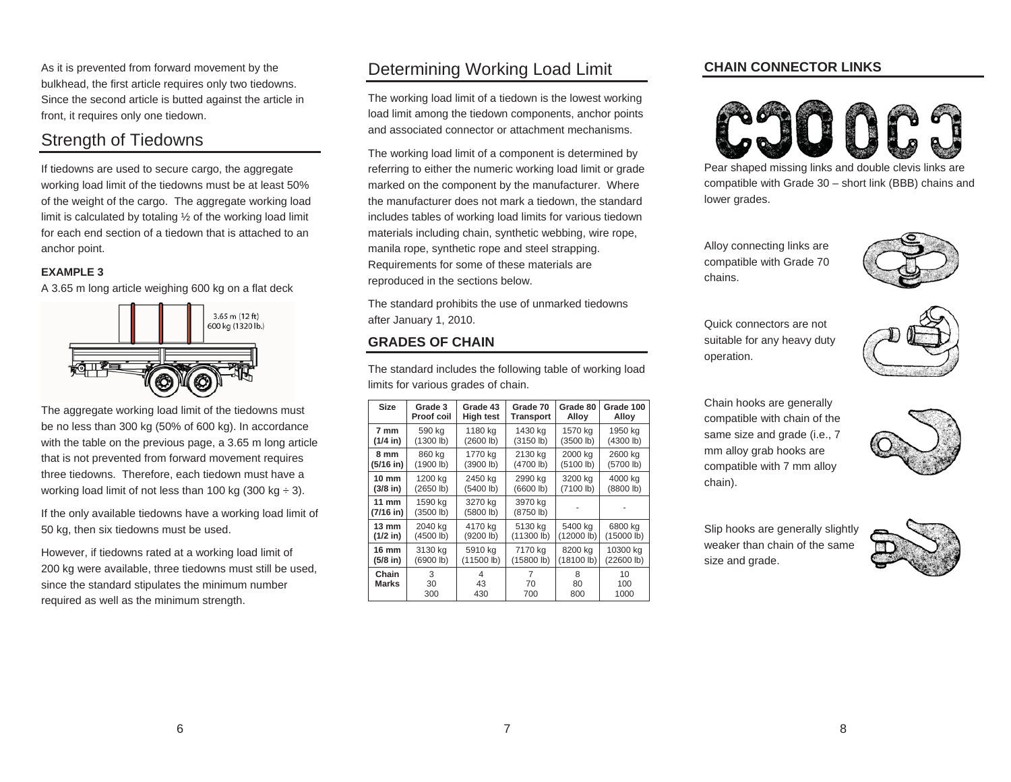As it is prevented from forward movement by the bulkhead, the first article requires only two tiedowns. Since the second article is butted against the article in front, it requires only one tiedown.

# Strength of Tiedowns

If tiedowns are used to secure cargo, the aggregate working load limit of the tiedowns must be at least 50% of the weight of the cargo. The aggregate working load limit is calculated by totaling ½ of the working load limit for each end section of a tiedown that is attached to ananchor point.

#### **EXAMPLE 3**

A 3.65 m long article weighing 600 kg on a flat deck



| The aggregate working load limit of the tiedowns must         |
|---------------------------------------------------------------|
| be no less than 300 kg (50% of 600 kg). In accordance         |
| with the table on the previous page, a 3.65 m long article    |
| that is not prevented from forward movement requires          |
| three tiedowns. Therefore, each tiedown must have a           |
| working load limit of not less than 100 kg (300 kg $\div$ 3). |

If the only available tiedowns have a working load limit of 50 kg, then six tiedowns must be used.

However, if tiedowns rated at a working load limit of 200 kg were available, three tiedowns must still be used, since the standard stipulates the minimum number required as well as the minimum strength.

# Determining Working Load Limit

The working load limit of a tiedown is the lowest working load limit among the tiedown components, anchor points and associated connector or attachment mechanisms.

The working load limit of a component is determined by referring to either the numeric working load limit or grade marked on the component by the manufacturer. Where the manufacturer does not mark a tiedown, the standard includes tables of working load limits for various tiedown materials including chain, synthetic webbing, wire rope, manila rope, synthetic rope and steel strapping. Requirements for some of these materials are reproduced in the sections below.

The standard prohibits the use of unmarked tiedowns after January 1, 2010.

### **GRADES OF CHAIN**

The standard includes the following table of working load limits for various grades of chain.

| Size                   | Grade 3              | Grade 43             | Grade 70             | Grade 80       | Grade 100         |
|------------------------|----------------------|----------------------|----------------------|----------------|-------------------|
|                        | <b>Proof coil</b>    | <b>High test</b>     | Transport            | Alloy          | Alloy             |
| 7 mm                   | 590 kg               | 1180 kg              | 1430 kg              | 1570 kg        | 1950 kg           |
| $(1/4$ in)             | (1300 lb)            | (2600 lb)            | (3150 lb)            | (3500 lb)      | (4300 lb)         |
| 8 mm                   | 860 kg               | 1770 kg              | 2130 kg              | 2000 kg        | 2600 kg           |
| $(5/16$ in)            | (1900 lb)            | (3900 lb)            | (4700 lb)            | (5100 lb)      | (5700 lb)         |
| $10 \text{ mm}$        | 1200 kg              | 2450 kg              | 2990 kg              | 3200 kg        | 4000 kg           |
| $(3/8)$ in)            | (2650 lb)            | (5400 lb)            | (6600 lb)            | (7100 lb)      | (8800 lb)         |
| $11$ mm<br>$(7/16$ in) | 1590 kg<br>(3500 lb) | 3270 kg<br>(5800 lb) | 3970 kg<br>(8750 lb) |                |                   |
| 13 mm                  | 2040 kg              | 4170 kg              | 5130 kg              | 5400 kg        | 6800 kg           |
| $(1/2$ in)             | (4500 lb)            | (9200 lb)            | (11300 lb)           | (12000 lb)     | (15000 lb)        |
| 16 mm                  | 3130 kg              | 5910 kg              | 7170 kg              | 8200 kg        | 10300 kg          |
| $(5/8)$ in)            | (6900 lb)            | (11500 lb)           | (15800 lb)           | (18100 lb)     | (22600 lb)        |
| Chain<br><b>Marks</b>  | 3<br>30<br>300       | 4<br>43<br>430       | 7<br>70<br>700       | 8<br>80<br>800 | 10<br>100<br>1000 |

#### **CHAIN CONNECTOR LINKS**



Pear shaped missing links and double clevis links are compatible with Grade 30 – short link (BBB) chains and lower grades.

Alloy connecting links are compatible with Grade 70 chains.



Quick connectors are not suitable for any heavy duty operation.



Chain hooks are generally compatible with chain of the same size and grade (i.e., 7 mm alloy grab hooks are compatible with 7 mm alloy chain).



Slip hooks are generally slightly weaker than chain of the samesize and grade.

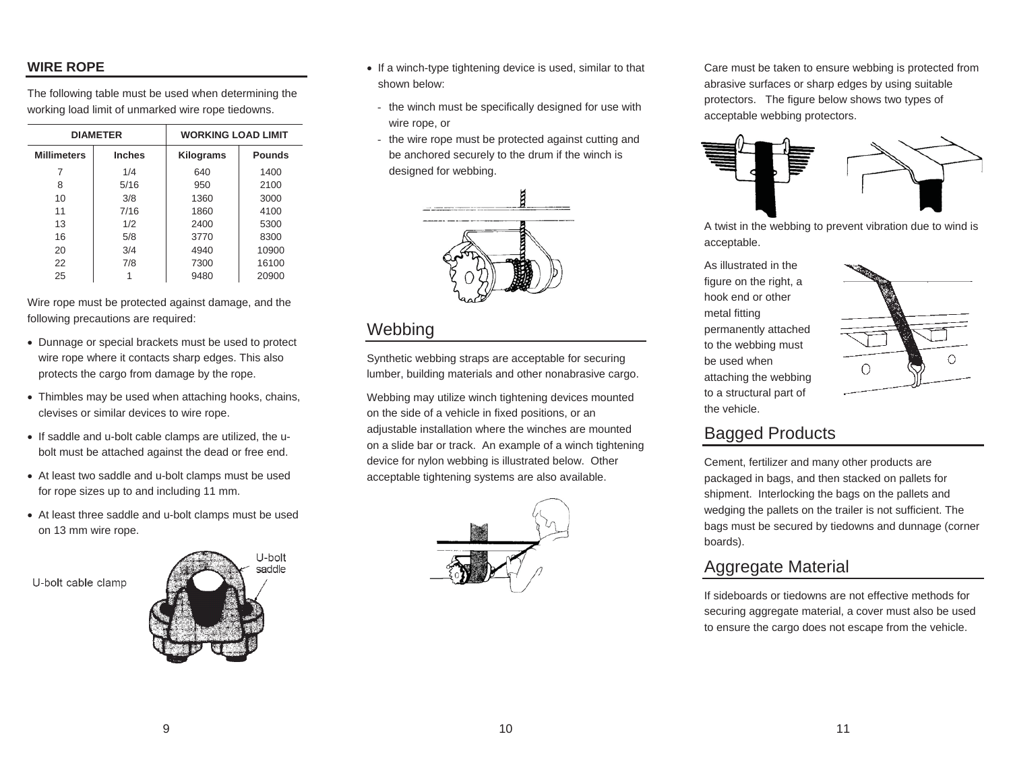#### **WIRE ROPE**

The following table must be used when determining the working load limit of unmarked wire rope tiedowns.

|                    | <b>DIAMETER</b> | <b>WORKING LOAD LIMIT</b> |               |  |
|--------------------|-----------------|---------------------------|---------------|--|
| <b>Millimeters</b> | <b>Inches</b>   | Kilograms                 | <b>Pounds</b> |  |
| 7                  | 1/4             | 640                       | 1400          |  |
| 8                  | 5/16            | 950                       | 2100          |  |
| 10                 | 3/8             | 1360                      | 3000          |  |
| 11                 | 7/16            | 1860                      | 4100          |  |
| 13                 | 1/2             | 2400                      | 5300          |  |
| 16                 | 5/8             | 3770                      | 8300          |  |
| 20                 | 3/4             | 4940                      | 10900         |  |
| 22                 | 7/8             | 7300                      | 16100         |  |
| 25                 |                 | 9480                      | 20900         |  |

Wire rope must be protected against damage, and the following precautions are required:

- Dunnage or special brackets must be used to protect wire rope where it contacts sharp edges. This also protects the cargo from damage by the rope.
- Thimbles may be used when attaching hooks, chains, clevises or similar devices to wire rope.
- If saddle and u-bolt cable clamps are utilized, the ubolt must be attached against the dead or free end.
- At least two saddle and u-bolt clamps must be used for rope sizes up to and including 11 mm.
- At least three saddle and u-bolt clamps must be used on 13 mm wire rope.

U-bolt cable clamp



- If a winch-type tightening device is used, similar to that shown below:
- the winch must be specifically designed for use with wire rope, or
- the wire rope must be protected against cutting and be anchored securely to the drum if the winch is designed for webbing.



## **Webbing**

Synthetic webbing straps are acceptable for securing lumber, building materials and other nonabrasive cargo.

Webbing may utilize winch tightening devices mounted on the side of a vehicle in fixed positions, or an adjustable installation where the winches are mounted on a slide bar or track. An example of a winch tightening device for nylon webbing is illustrated below. Other acceptable tightening systems are also available.



Care must be taken to ensure webbing is protected from abrasive surfaces or sharp edges by using suitable protectors. The figure below shows two types of acceptable webbing protectors.



A twist in the webbing to prevent vibration due to wind is acceptable.

As illustrated in the figure on the right, a hook end or othermetal fitting permanently attached to the webbing must be used whenattaching the webbing to a structural part of the vehicle.



# Bagged Products

Cement, fertilizer and many other products are packaged in bags, and then stacked on pallets for shipment. Interlocking the bags on the pallets and wedging the pallets on the trailer is not sufficient. The bags must be secured by tiedowns and dunnage (corner boards).

# Aggregate Material

If sideboards or tiedowns are not effective methods for securing aggregate material, a cover must also be used to ensure the cargo does not escape from the vehicle.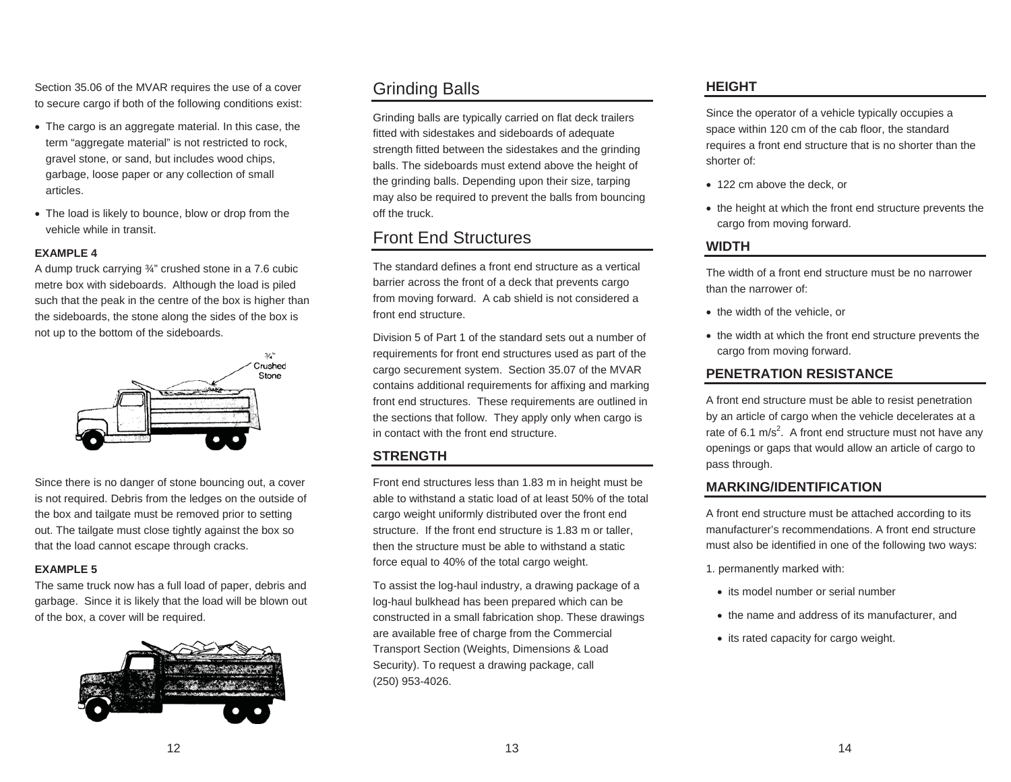Section 35.06 of the MVAR requires the use of a cover to secure cargo if both of the following conditions exist:

- The cargo is an aggregate material. In this case, the term "aggregate material" is not restricted to rock, gravel stone, or sand, but includes wood chips, garbage, loose paper or any collection of small articles.
- The load is likely to bounce, blow or drop from the vehicle while in transit.

#### **EXAMPLE 4**

A dump truck carrying ¾" crushed stone in a 7.6 cubic metre box with sideboards. Although the load is piled such that the peak in the centre of the box is higher than the sideboards, the stone along the sides of the box is not up to the bottom of the sideboards.



Since there is no danger of stone bouncing out, a cover is not required. Debris from the ledges on the outside of the box and tailgate must be removed prior to setting out. The tailgate must close tightly against the box so that the load cannot escape through cracks.

#### **EXAMPLE 5**

The same truck now has a full load of paper, debris and garbage. Since it is likely that the load will be blown out of the box, a cover will be required.



# Grinding Balls

Grinding balls are typically carried on flat deck trailers fitted with sidestakes and sideboards of adequate strength fitted between the sidestakes and the grinding balls. The sideboards must extend above the height of the grinding balls. Depending upon their size, tarping may also be required to prevent the balls from bouncing off the truck.

## Front End Structures

The standard defines a front end structure as a vertical barrier across the front of a deck that prevents cargo from moving forward. A cab shield is not considered a front end structure.

Division 5 of Part 1 of the standard sets out a number of requirements for front end structures used as part of the cargo securement system. Section 35.07 of the MVAR contains additional requirements for affixing and marking front end structures. These requirements are outlined in the sections that follow. They apply only when cargo is in contact with the front end structure.

### **STRENGTH**

Front end structures less than 1.83 m in height must be able to withstand a static load of at least 50% of the total cargo weight uniformly distributed over the front end structure. If the front end structure is 1.83 m or taller, then the structure must be able to withstand a static force equal to 40% of the total cargo weight.

To assist the log-haul industry, a drawing package of a log-haul bulkhead has been prepared which can be constructed in a small fabrication shop. These drawings are available free of charge from the Commercial Transport Section (Weights, Dimensions & Load Security). To request a drawing package, call (250) 953-4026.

### **HEIGHT**

Since the operator of a vehicle typically occupies a space within 120 cm of the cab floor, the standard requires a front end structure that is no shorter than the shorter of:

- 122 cm above the deck, or
- the height at which the front end structure prevents the cargo from moving forward.

### **WIDTH**

The width of a front end structure must be no narrower than the narrower of:

- the width of the vehicle, or
- the width at which the front end structure prevents the cargo from moving forward.

### **PENETRATION RESISTANCE**

A front end structure must be able to resist penetration by an article of cargo when the vehicle decelerates at a rate of 6.1 m/s<sup>2</sup>. A front end structure must not have any openings or gaps that would allow an article of cargo to pass through.

#### **MARKING/IDENTIFICATION**

A front end structure must be attached according to its manufacturer's recommendations. A front end structure must also be identified in one of the following two ways:

1. permanently marked with:

- its model number or serial number
- the name and address of its manufacturer, and
- its rated capacity for cargo weight.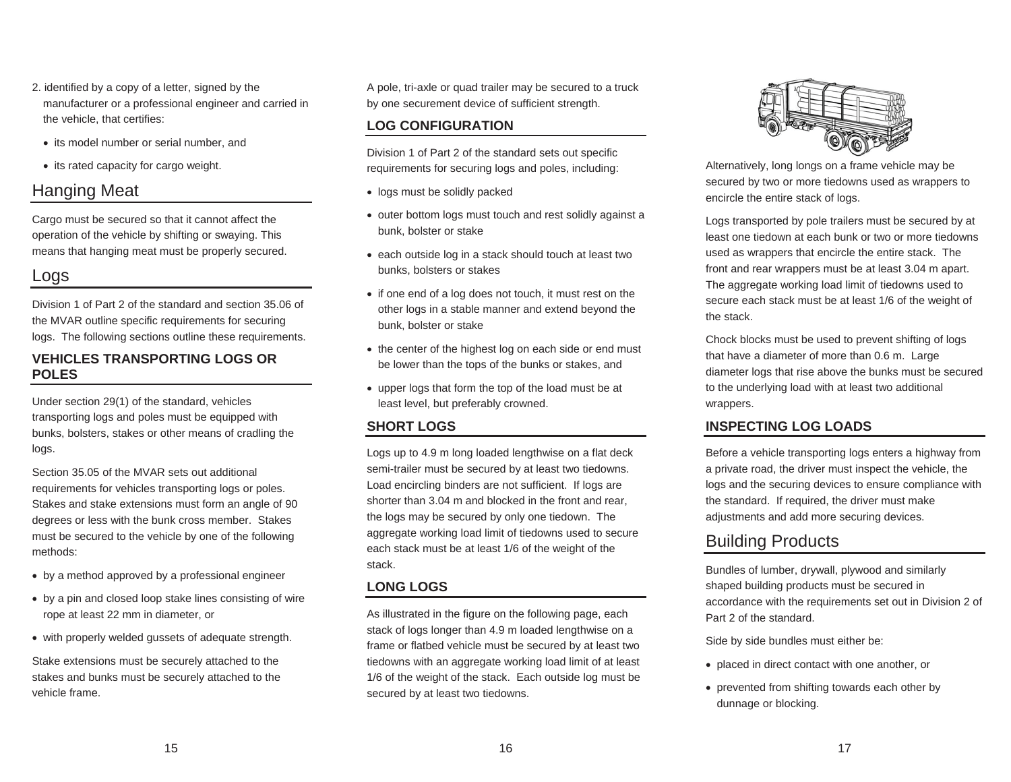- 2. identified by a copy of a letter, signed by the manufacturer or a professional engineer and carried in the vehicle, that certifies:
	- its model number or serial number, and
	- its rated capacity for cargo weight.

## Hanging Meat

Cargo must be secured so that it cannot affect the operation of the vehicle by shifting or swaying. This means that hanging meat must be properly secured.

# Logs

Division 1 of Part 2 of the standard and section 35.06 of the MVAR outline specific requirements for securing logs. The following sections outline these requirements.

#### **VEHICLES TRANSPORTING LOGS OR POLES**

Under section 29(1) of the standard, vehicles transporting logs and poles must be equipped with bunks, bolsters, stakes or other means of cradling the logs.

Section 35.05 of the MVAR sets out additional requirements for vehicles transporting logs or poles. Stakes and stake extensions must form an angle of 90 degrees or less with the bunk cross member. Stakes must be secured to the vehicle by one of the following methods:

- by a method approved by a professional engineer
- by a pin and closed loop stake lines consisting of wire rope at least 22 mm in diameter, or
- with properly welded gussets of adequate strength.

Stake extensions must be securely attached to the stakes and bunks must be securely attached to the vehicle frame.

A pole, tri-axle or quad trailer may be secured to a truck by one securement device of sufficient strength.

#### **LOG CONFIGURATION**

Division 1 of Part 2 of the standard sets out specific requirements for securing logs and poles, including:

- logs must be solidly packed
- outer bottom logs must touch and rest solidly against a bunk, bolster or stake
- each outside log in a stack should touch at least two bunks, bolsters or stakes
- if one end of a log does not touch, it must rest on the other logs in a stable manner and extend beyond the bunk, bolster or stake
- the center of the highest log on each side or end must be lower than the tops of the bunks or stakes, and
- upper logs that form the top of the load must be at least level, but preferably crowned.

#### **SHORT LOGS**

Logs up to 4.9 m long loaded lengthwise on a flat deck semi-trailer must be secured by at least two tiedowns. Load encircling binders are not sufficient. If logs are shorter than 3.04 m and blocked in the front and rear, the logs may be secured by only one tiedown. The aggregate working load limit of tiedowns used to secure each stack must be at least 1/6 of the weight of the stack.

#### **LONG LOGS**

As illustrated in the figure on the following page, each stack of logs longer than 4.9 m loaded lengthwise on a frame or flatbed vehicle must be secured by at least two tiedowns with an aggregate working load limit of at least 1/6 of the weight of the stack. Each outside log must be secured by at least two tiedowns.



Alternatively, long longs on a frame vehicle may be secured by two or more tiedowns used as wrappers to encircle the entire stack of logs.

Logs transported by pole trailers must be secured by at least one tiedown at each bunk or two or more tiedownsused as wrappers that encircle the entire stack. The front and rear wrappers must be at least 3.04 m apart. The aggregate working load limit of tiedowns used to secure each stack must be at least 1/6 of the weight of the stack.

Chock blocks must be used to prevent shifting of logs that have a diameter of more than 0.6 m. Large diameter logs that rise above the bunks must be secured to the underlying load with at least two additional wrappers.

### **INSPECTING LOG LOADS**

Before a vehicle transporting logs enters a highway from a private road, the driver must inspect the vehicle, the logs and the securing devices to ensure compliance with the standard. If required, the driver must make adjustments and add more securing devices.

# Building Products

Bundles of lumber, drywall, plywood and similarly shaped building products must be secured in accordance with the requirements set out in Division 2 of Part 2 of the standard.

Side by side bundles must either be:

- placed in direct contact with one another, or
- prevented from shifting towards each other by dunnage or blocking.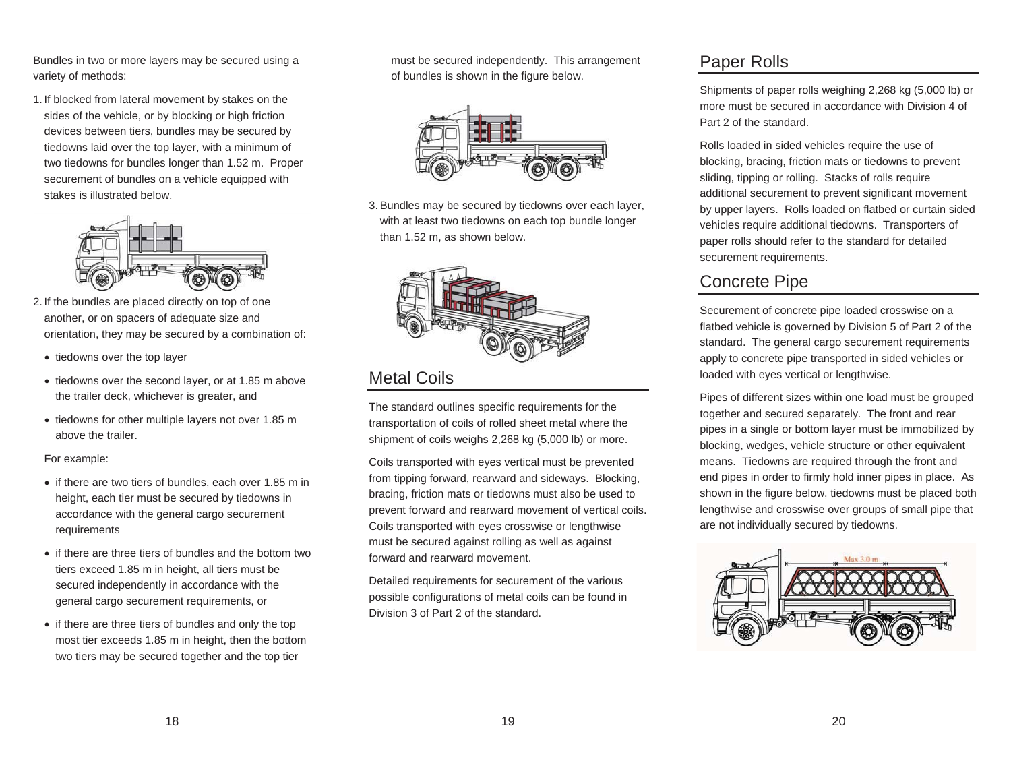Bundles in two or more layers may be secured using a variety of methods:

1. If blocked from lateral movement by stakes on the sides of the vehicle, or by blocking or high friction devices between tiers, bundles may be secured by tiedowns laid over the top layer, with a minimum of two tiedowns for bundles longer than 1.52 m. Proper securement of bundles on a vehicle equipped with stakes is illustrated below.



- 2. If the bundles are placed directly on top of one another, or on spacers of adequate size and orientation, they may be secured by a combination of:
	- tiedowns over the top layer
	- tiedowns over the second layer, or at 1.85 m above the trailer deck, whichever is greater, and
	- tiedowns for other multiple layers not over 1.85 m above the trailer.

For example:

- if there are two tiers of bundles, each over 1.85 m in height, each tier must be secured by tiedowns in accordance with the general cargo securement requirements
- $\bullet$  if there are three tiers of bundles and the bottom two tiers exceed 1.85 m in height, all tiers must be secured independently in accordance with the general cargo securement requirements, or
- if there are three tiers of bundles and only the top most tier exceeds 1.85 m in height, then the bottom two tiers may be secured together and the top tier

must be secured independently. This arrangement of bundles is shown in the figure below.



3. Bundles may be secured by tiedowns over each layer, with at least two tiedowns on each top bundle longer than 1.52 m, as shown below.



# Metal Coils

The standard outlines specific requirements for the transportation of coils of rolled sheet metal where the shipment of coils weighs 2,268 kg (5,000 lb) or more.

Coils transported with eyes vertical must be prevented from tipping forward, rearward and sideways. Blocking, bracing, friction mats or tiedowns must also be used to prevent forward and rearward movement of vertical coils. Coils transported with eyes crosswise or lengthwise must be secured against rolling as well as against forward and rearward movement.

Detailed requirements for securement of the various possible configurations of metal coils can be found in Division 3 of Part 2 of the standard.

## Paper Rolls

Shipments of paper rolls weighing 2,268 kg (5,000 lb) or more must be secured in accordance with Division 4 of Part 2 of the standard.

Rolls loaded in sided vehicles require the use of blocking, bracing, friction mats or tiedowns to prevent sliding, tipping or rolling. Stacks of rolls require additional securement to prevent significant movement by upper layers. Rolls loaded on flatbed or curtain sided vehicles require additional tiedowns. Transporters of paper rolls should refer to the standard for detailed securement requirements.

# Concrete Pipe

Securement of concrete pipe loaded crosswise on a flatbed vehicle is governed by Division 5 of Part 2 of the standard. The general cargo securement requirements apply to concrete pipe transported in sided vehicles or loaded with eyes vertical or lengthwise.

Pipes of different sizes within one load must be grouped together and secured separately. The front and rear pipes in a single or bottom layer must be immobilized by blocking, wedges, vehicle structure or other equivalent means. Tiedowns are required through the front and end pipes in order to firmly hold inner pipes in place. As shown in the figure below, tiedowns must be placed both lengthwise and crosswise over groups of small pipe that are not individually secured by tiedowns.

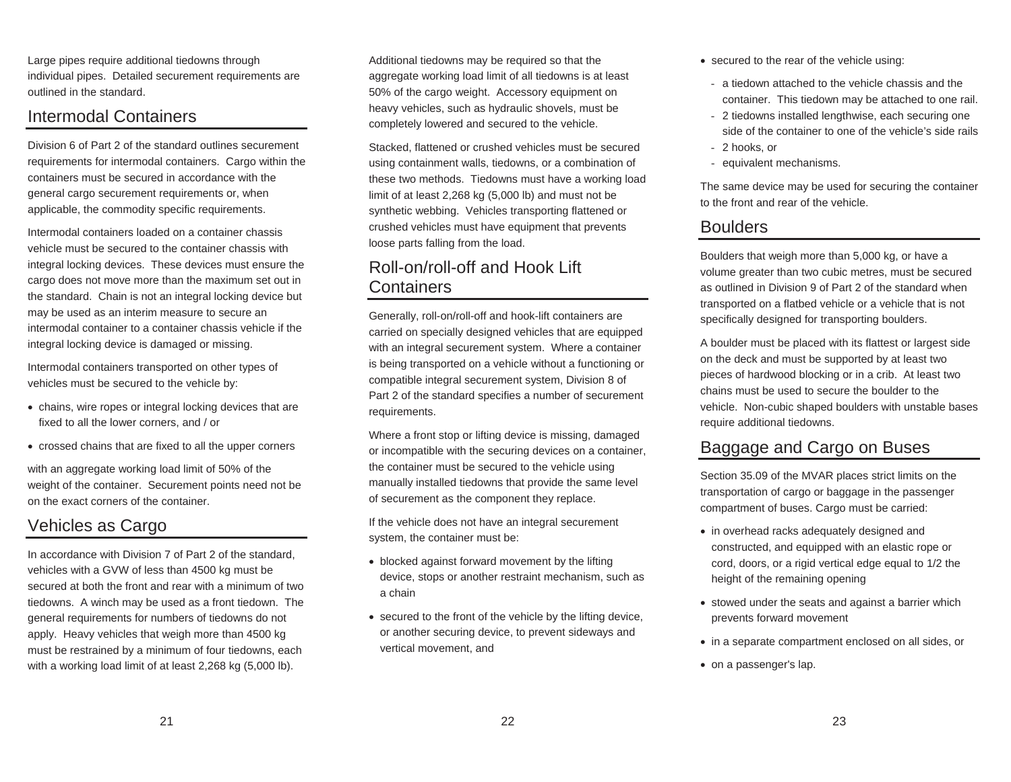Large pipes require additional tiedowns through individual pipes. Detailed securement requirements are outlined in the standard.

## Intermodal Containers

Division 6 of Part 2 of the standard outlines securement requirements for intermodal containers. Cargo within the containers must be secured in accordance with the general cargo securement requirements or, when applicable, the commodity specific requirements.

Intermodal containers loaded on a container chassis vehicle must be secured to the container chassis with integral locking devices. These devices must ensure the cargo does not move more than the maximum set out in the standard. Chain is not an integral locking device but may be used as an interim measure to secure an intermodal container to a container chassis vehicle if the integral locking device is damaged or missing.

Intermodal containers transported on other types of vehicles must be secured to the vehicle by:

- chains, wire ropes or integral locking devices that are fixed to all the lower corners, and / or
- crossed chains that are fixed to all the upper corners

with an aggregate working load limit of 50% of the weight of the container. Securement points need not be on the exact corners of the container.

# Vehicles as Cargo

In accordance with Division 7 of Part 2 of the standard, vehicles with a GVW of less than 4500 kg must be secured at both the front and rear with a minimum of two tiedowns. A winch may be used as a front tiedown. The general requirements for numbers of tiedowns do not apply. Heavy vehicles that weigh more than 4500 kg must be restrained by a minimum of four tiedowns, each with a working load limit of at least 2,268 kg (5,000 lb).

Additional tiedowns may be required so that the aggregate working load limit of all tiedowns is at least 50% of the cargo weight. Accessory equipment on heavy vehicles, such as hydraulic shovels, must be completely lowered and secured to the vehicle.

Stacked, flattened or crushed vehicles must be secured using containment walls, tiedowns, or a combination of these two methods. Tiedowns must have a working load limit of at least 2,268 kg (5,000 lb) and must not be synthetic webbing. Vehicles transporting flattened or crushed vehicles must have equipment that prevents loose parts falling from the load.

## Roll-on/roll-off and Hook Lift Containers

Generally, roll-on/roll-off and hook-lift containers are carried on specially designed vehicles that are equipped with an integral securement system. Where a container is being transported on a vehicle without a functioning or compatible integral securement system, Division 8 of Part 2 of the standard specifies a number of securement requirements.

Where a front stop or lifting device is missing, damaged or incompatible with the securing devices on a container, the container must be secured to the vehicle using manually installed tiedowns that provide the same level of securement as the component they replace.

If the vehicle does not have an integral securement system, the container must be:

- blocked against forward movement by the lifting device, stops or another restraint mechanism, such as a chain
- $\bullet$  secured to the front of the vehicle by the lifting device, or another securing device, to prevent sideways and vertical movement, and
- secured to the rear of the vehicle using:
	- a tiedown attached to the vehicle chassis and the container. This tiedown may be attached to one rail.
	- 2 tiedowns installed lengthwise, each securing one side of the container to one of the vehicle's side rails
- 2 hooks, or
- equivalent mechanisms.

The same device may be used for securing the container to the front and rear of the vehicle.

## **Boulders**

Boulders that weigh more than 5,000 kg, or have a volume greater than two cubic metres, must be secured as outlined in Division 9 of Part 2 of the standard when transported on a flatbed vehicle or a vehicle that is not specifically designed for transporting boulders.

A boulder must be placed with its flattest or largest side on the deck and must be supported by at least two pieces of hardwood blocking or in a crib. At least two chains must be used to secure the boulder to the vehicle. Non-cubic shaped boulders with unstable bases require additional tiedowns.

## Baggage and Cargo on Buses

Section 35.09 of the MVAR places strict limits on the transportation of cargo or baggage in the passenger compartment of buses. Cargo must be carried:

- in overhead racks adequately designed and constructed, and equipped with an elastic rope or cord, doors, or a rigid vertical edge equal to 1/2 the height of the remaining opening
- stowed under the seats and against a barrier which prevents forward movement
- in a separate compartment enclosed on all sides, or
- on a passenger's lap.